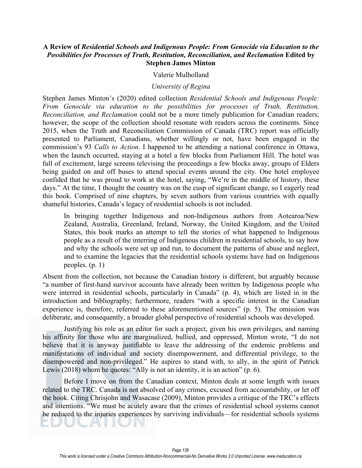## **A Review of** *Residential Schools and Indigenous People: From Genocide via Education to the Possibilities for Processes of Truth, Restitution, Reconciliation, and Reclamation* **Edited by Stephen James Minton**

## Valerie Mulholland

## *University of Regina*

Stephen James Minton's (2020) edited collection *Residential Schools and Indigenous People: From Genocide via education to the possibilities for processes of Truth, Restitution, Reconciliation, and Reclamation* could not be a more timely publication for Canadian readers; however, the scope of the collection should resonate with readers across the continents. Since 2015, when the Truth and Reconciliation Commission of Canada (TRC) report was officially presented to Parliament, Canadians, whether willingly or not, have been engaged in the commission's 93 *Calls to Action*. I happened to be attending a national conference in Ottawa, when the launch occurred, staying at a hotel a few blocks from Parliament Hill. The hotel was full of excitement, large screens televising the proceedings a few blocks away, groups of Elders being guided on and off buses to attend special events around the city. One hotel employee confided that he was proud to work at the hotel, saying, "We're in the middle of history, these days." At the time, I thought the country was on the cusp of significant change, so I eagerly read this book. Comprised of nine chapters, by seven authors from various countries with equally shameful histories, Canada's legacy of residential schools is not included.

In bringing together Indigenous and non-Indigenous authors from Aotearoa/New Zealand, Australia, Greenland, Ireland, Norway, the United Kingdom, and the United States, this book marks an attempt to tell the stories of what happened to Indigenous people as a result of the interring of Indigenous children in residential schools, to say how and why the schools were set up and run, to document the patterns of abuse and neglect, and to examine the legacies that the residential schools systems have had on Indigenous peoples. (p. 1)

Absent from the collection, not because the Canadian history is different, but arguably because "a number of first-hand survivor accounts have already been written by Indigenous people who were interred in residential schools, particularly in Canada" (p. 4), which are listed in in the introduction and bibliography; furthermore, readers "with a specific interest in the Canadian experience is, therefore, referred to these aforementioned sources" (p. 5). The omission was deliberate, and consequently, a broader global perspective of residential schools was developed.

Justifying his role as an editor for such a project, given his own privileges, and naming his affinity for those who are marginalized, bullied, and oppressed, Minton wrote, "I do not believe that it is anyway justifiable to leave the addressing of the endemic problems and manifestations of individual and society disempowerment, and differential privilege, to the disempowered and non-privileged." He aspires to stand with, to ally, in the spirit of Patrick Lewis (2018) whom he quotes: "Ally is not an identity, it is an action" (p. 6).

 Before I move on from the Canadian context, Minton deals at some length with issues related to the TRC. Canada is not absolved of any crimes, excused from accountability, or let off the hook. Citing Chrisjohn and Wasacase (2009), Minton provides a critique of the TRC's effects and intentions. "We must be acutely aware that the crimes of residential school systems cannot be reduced to the injuries experiences by surviving individuals—for residential schools systems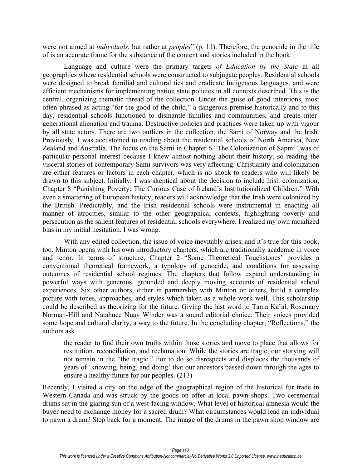were not aimed at *individuals*, but rather at *peoples*" (p. 11). Therefore, the genocide in the title of is an accurate frame for the substance of the content and stories included in the book.

Language and culture were the primary targets *of Education by the State* in all geographies where residential schools were constructed to subjugate peoples. Residential schools were designed to break familial and cultural ties and eradicate Indigenous languages, and were efficient mechanisms for implementing nation state policies in all contexts described. This is the central, organizing thematic thread of the collection. Under the guise of good intentions, most often phrased as acting "for the good of the child," a dangerous premise historically and to this day, residential schools functioned to dismantle families and communities, and create intergenerational alienation and trauma. Destructive policies and practices were taken up with vigour by all state actors. There are two outliers in the collection, the Sami of Norway and the Irish. Previously, I was accustomed to reading about the residential schools of North America, New Zealand and Australia. The focus on the Sami in Chapter 6 "The Colonization of Sapmi" was of particular personal interest because I knew almost nothing about their history, so reading the visceral stories of contemporary Sami survivors was very affecting. Christianity and colonization are either features or factors in each chapter, which is no shock to readers who will likely be drawn to this subject. Initially, I was skeptical about the decision to include Irish colonization, Chapter 8 "Punishing Poverty: The Curious Case of Ireland's Institutionalized Children." With even a smattering of European history, readers will acknowledge that the Irish were colonized by the British. Predictably, and the Irish residential schools were instrumental in enacting all manner of atrocities, similar to the other geographical contexts, highlighting poverty and persecution as the salient features of residential schools everywhere. I realized my own racialized bias in my initial hesitation. I was wrong.

With any edited collection, the issue of voice inevitably arises, and it's true for this book, too. Minton opens with his own introductory chapters, which are traditionally academic in voice and tenor. In terms of structure, Chapter 2 "Some Theoretical Touchstones' provides a conventional theoretical framework, a typology of genocide, and conditions for assessing outcomes of residential school regimes. The chapters that follow expand understanding in powerful ways with generous, grounded and deeply moving accounts of residential school experiences. Six other authors, either in partnership with Minton or others, build a complex picture with tones, approaches, and styles which taken as a whole work well. This scholarship could be described as theorizing for the future. Giving the last word to Tania Ka'al, Rosemary Norman-Hill and Natahnee Nuay Winder was a sound editorial choice. Their voices provided some hope and cultural clarity, a way to the future. In the concluding chapter, "Reflections," the authors ask

the reader to find their own truths within those stories and move to place that allows for restitution, reconciliation, and reclamation. While the stories are tragic, our storying will not remain in the "the tragic." For to do so disrespects and displaces the thousands of years of 'knowing, being, and doing' that our ancestors passed down through the ages to ensure a healthy future for our peoples. (213)

Recently, I visited a city on the edge of the geographical region of the historical fur trade in Western Canada and was struck by the goods on offer at local pawn shops. Two ceremonial drums sat in the glaring sun of a west-facing window. What level of historical amnesia would the buyer need to exchange money for a sacred drum? What circumstances would lead an individual to pawn a drum? Step back for a moment. The image of the drums in the pawn shop window are